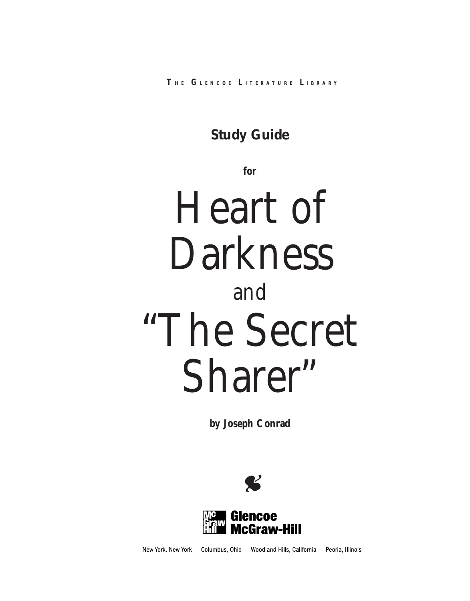## **Study Guide**

**for**

# Heart of Darkness and "The Secret Sharer"

**by Joseph Conrad**





New York, New York Columbus, Ohio Woodland Hills, California Peoria, Illinois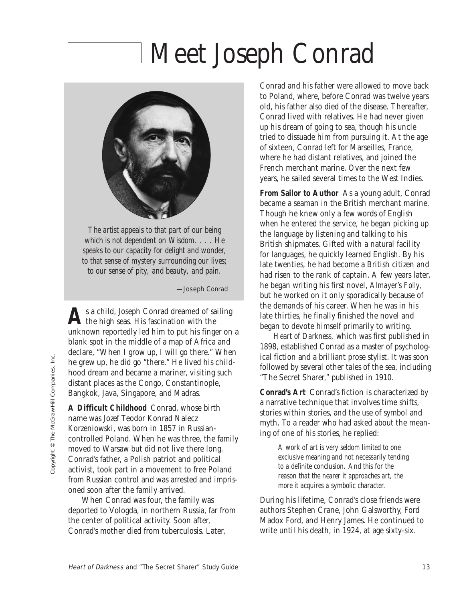# Meet Joseph Conrad



*The artist appeals to that part of our being which is not dependent on Wisdom. . . . He speaks to our capacity for delight and wonder, to that sense of mystery surrounding our lives; to our sense of pity, and beauty, and pain.*

—Joseph Conrad

As a child, Joseph Conrad dreamed of sailing<br>the high seas. His fascination with the unknown reportedly led him to put his finger on a blank spot in the middle of a map of Africa and declare, "When I grow up, I will go there." When he grew up, he did go "there." He lived his childhood dream and became a mariner, visiting such distant places as the Congo, Constantinople, Bangkok, Java, Singapore, and Madras.

**A Difficult Childhood** Conrad, whose birth name was Jozef Teodor Konrad Nalecz Korzeniowski, was born in 1857 in Russiancontrolled Poland. When he was three, the family moved to Warsaw but did not live there long. Conrad's father, a Polish patriot and political activist, took part in a movement to free Poland from Russian control and was arrested and imprisoned soon after the family arrived.

When Conrad was four, the family was deported to Vologda, in northern Russia, far from the center of political activity. Soon after, Conrad's mother died from tuberculosis. Later,

Conrad and his father were allowed to move back to Poland, where, before Conrad was twelve years old, his father also died of the disease. Thereafter, Conrad lived with relatives. He had never given up his dream of going to sea, though his uncle tried to dissuade him from pursuing it. At the age of sixteen, Conrad left for Marseilles, France, where he had distant relatives, and joined the French merchant marine. Over the next few years, he sailed several times to the West Indies.

**From Sailor to Author** As a young adult, Conrad became a seaman in the British merchant marine. Though he knew only a few words of English when he entered the service, he began picking up the language by listening and talking to his British shipmates. Gifted with a natural facility for languages, he quickly learned English. By his late twenties, he had become a British citizen and had risen to the rank of captain. A few years later, he began writing his first novel, *Almayer's Folly,* but he worked on it only sporadically because of the demands of his career. When he was in his late thirties, he finally finished the novel and began to devote himself primarily to writing.

*Heart of Darkness,* which was first published in 1898, established Conrad as a master of psychological fiction and a brilliant prose stylist. It was soon followed by several other tales of the sea, including "The Secret Sharer," published in 1910.

**Conrad's Art** Conrad's fiction is characterized by a narrative technique that involves time shifts, stories within stories, and the use of symbol and myth. To a reader who had asked about the meaning of one of his stories, he replied:

> *A work of art is very seldom limited to one exclusive meaning and not necessarily tending to a definite conclusion. And this for the reason that the nearer it approaches art, the more it acquires a symbolic character.*

During his lifetime, Conrad's close friends were authors Stephen Crane, John Galsworthy, Ford Madox Ford, and Henry James. He continued to write until his death, in 1924, at age sixty-six.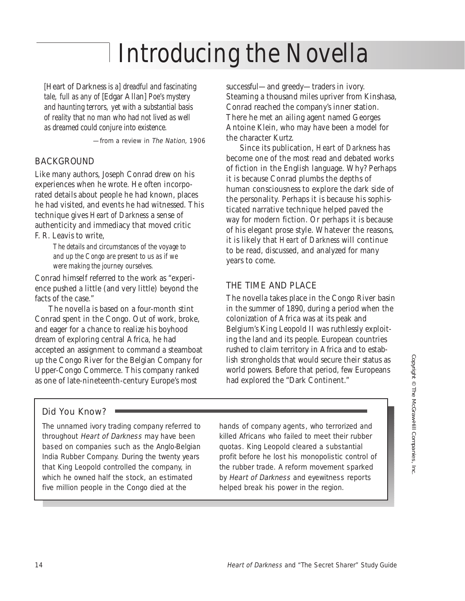## Introducing the Novella

*[*Heart of Darkness *is a] dreadful and fascinating tale, full as any of* [Edgar Allan] *Poe's mystery and haunting terrors, yet with a substantial basis of reality that no man who had not lived as well as dreamed could conjure into existence.*

—from a review in The Nation, 1906

### BACKGROUND

Like many authors, Joseph Conrad drew on his experiences when he wrote. He often incorporated details about people he had known, places he had visited, and events he had witnessed. This technique gives *Heart of Darkness* a sense of authenticity and immediacy that moved critic F. R. Leavis to write,

> *The details and circumstances of the voyage to and up the Congo are present to us as if we were making the journey ourselves.*

Conrad himself referred to the work as "experience pushed a little (and very little) beyond the facts of the case."

The novella is based on a four-month stint Conrad spent in the Congo. Out of work, broke, and eager for a chance to realize his boyhood dream of exploring central Africa, he had accepted an assignment to command a steamboat up the Congo River for the Belgian Company for Upper-Congo Commerce. This company ranked as one of late-nineteenth-century Europe's most

successful—and greedy—traders in ivory. Steaming a thousand miles upriver from Kinshasa, Conrad reached the company's inner station. There he met an ailing agent named Georges Antoine Klein, who may have been a model for the character Kurtz.

Since its publication, *Heart of Darkness* has become one of the most read and debated works of fiction in the English language. Why? Perhaps it is because Conrad plumbs the depths of human consciousness to explore the dark side of the personality. Perhaps it is because his sophisticated narrative technique helped paved the way for modern fiction. Or perhaps it is because of his elegant prose style. Whatever the reasons, it is likely that *Heart of Darkness* will continue to be read, discussed, and analyzed for many years to come.

### THE TIME AND PLACE

The novella takes place in the Congo River basin in the summer of 1890, during a period when the colonization of Africa was at its peak and Belgium's King Leopold II was ruthlessly exploiting the land and its people. European countries rushed to claim territory in Africa and to establish strongholds that would secure their status as world powers. Before that period, few Europeans had explored the "Dark Continent."

### Did You Know?

The unnamed ivory trading company referred to throughout Heart of Darkness may have been based on companies such as the Anglo-Belgian India Rubber Company. During the twenty years that King Leopold controlled the company, in which he owned half the stock, an estimated five million people in the Congo died at the

hands of company agents, who terrorized and killed Africans who failed to meet their rubber quotas. King Leopold cleared a substantial profit before he lost his monopolistic control of the rubber trade. A reform movement sparked by Heart of Darkness and eyewitness reports helped break his power in the region.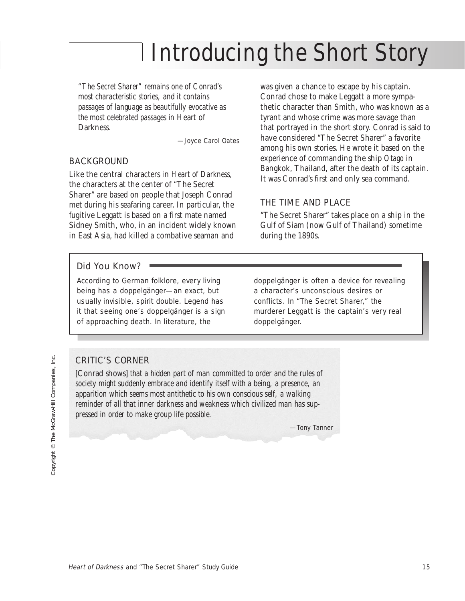## Introducing the Short Story

*"The Secret Sharer" remains one of Conrad's most characteristic stories, and it contains passages of language as beautifully evocative as the most celebrated passages in* Heart of Darkness.

—Joyce Carol Oates

#### BACKGROUND

Like the central characters in *Heart of Darkness,* the characters at the center of "The Secret Sharer" are based on people that Joseph Conrad met during his seafaring career. In particular, the fugitive Leggatt is based on a first mate named Sidney Smith, who, in an incident widely known in East Asia, had killed a combative seaman and

was given a chance to escape by his captain. Conrad chose to make Leggatt a more sympathetic character than Smith, who was known as a tyrant and whose crime was more savage than that portrayed in the short story. Conrad is said to have considered "The Secret Sharer" a favorite among his own stories. He wrote it based on the experience of commanding the ship *Otago* in Bangkok, Thailand, after the death of its captain. It was Conrad's first and only sea command.

#### THE TIME AND PLACE

"The Secret Sharer" takes place on a ship in the Gulf of Siam (now Gulf of Thailand) sometime during the 1890s.

#### Did You Know?

According to German folklore, every living being has a doppelgänger—an exact, but usually invisible, spirit double. Legend has it that seeing one's doppelgänger is a sign of approaching death. In literature, the

doppelgänger is often a device for revealing a character's unconscious desires or conflicts. In "The Secret Sharer," the murderer Leggatt is the captain's very real doppelgänger.

### CRITIC'S CORNER

[Conrad shows] *that a hidden part of man committed to order and the rules of society might suddenly embrace and identify itself with a being, a presence, an apparition which seems most antithetic to his own conscious self, a walking reminder of all that inner darkness and weakness which civilized man has suppressed in order to make group life possible.*

—Tony Tanner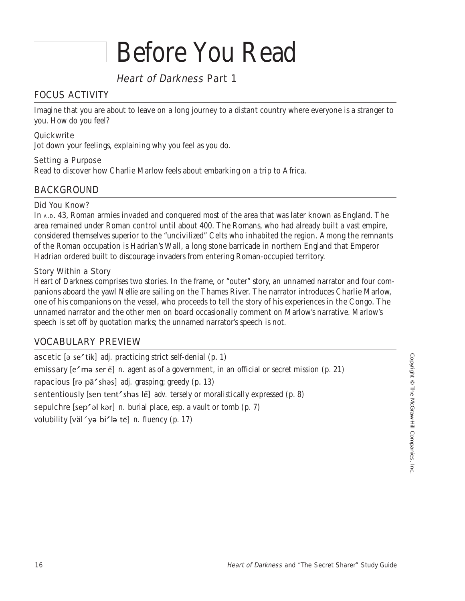## Before You Read

## Heart of Darkness Part 1

### FOCUS ACTIVITY

Imagine that you are about to leave on a long journey to a distant country where everyone is a stranger to you. How do you feel?

#### **Quickwrite**

Jot down your feelings, explaining why you feel as you do.

#### Setting a Purpose

Read to discover how Charlie Marlow feels about embarking on a trip to Africa.

### BACKGROUND

#### Did You Know?

In A.D. 43, Roman armies invaded and conquered most of the area that was later known as England. The area remained under Roman control until about 400. The Romans, who had already built a vast empire, considered themselves superior to the "uncivilized" Celts who inhabited the region. Among the remnants of the Roman occupation is Hadrian's Wall, a long stone barricade in northern England that Emperor Hadrian ordered built to discourage invaders from entering Roman-occupied territory.

#### Story Within a Story

*Heart of Darkness* comprises two stories. In the frame, or "outer" story, an unnamed narrator and four companions aboard the yawl *Nellie* are sailing on the Thames River. The narrator introduces Charlie Marlow, one of his companions on the vessel, who proceeds to tell the story of his experiences in the Congo. The unnamed narrator and the other men on board occasionally comment on Marlow's narrative. Marlow's speech is set off by quotation marks; the unnamed narrator's speech is not.

### VOCABULARY PREVIEW

ascetic [ə se'tik] *adj.* practicing strict self-denial (p. 1) emissary [e' mə ser ē] *n.* agent as of a government, in an official or secret mission (p. 21) rapacious [rə pā'shəs] *adj.* grasping; greedy (p. 13) sententiously [sen tent'shas lē] *adv.* tersely or moralistically expressed (p. 8) sepulchre [sep' əl kər] *n.* burial place, esp. a vault or tomb (p. 7) volubility [väl´yə bi'lə tē] n. fluency (p. 17)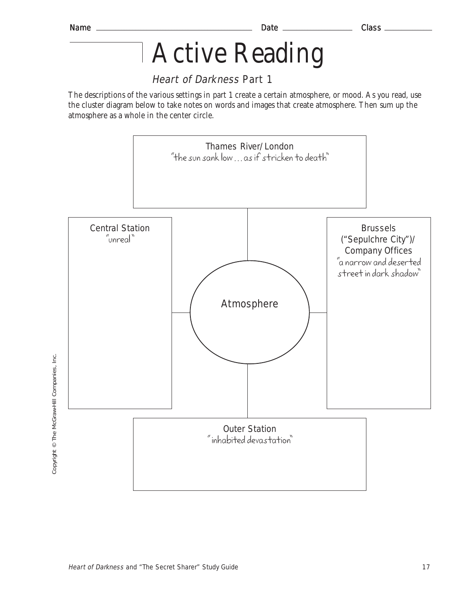## Active Reading

## Heart of Darkness Part 1

The descriptions of the various settings in part 1 create a certain atmosphere, or mood. As you read, use the cluster diagram below to take notes on words and images that create atmosphere. Then sum up the atmosphere as a whole in the center circle.



Copyright © The McGraw-Hill Companies, Inc. Copyright © The McGraw-Hill Companies, Inc.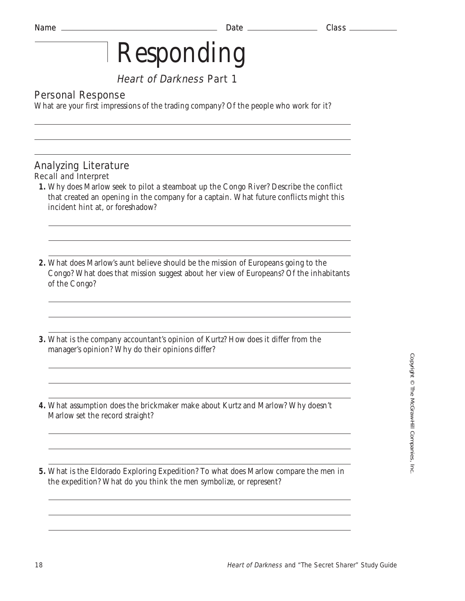## Heart of Darkness Part 1

## Personal Response

What are your first impressions of the trading company? Of the people who work for it?

## Analyzing Literature

### Recall and Interpret

- **1.** Why does Marlow seek to pilot a steamboat up the Congo River? Describe the conflict that created an opening in the company for a captain. What future conflicts might this incident hint at, or foreshadow?
- **2.** What does Marlow's aunt believe should be the mission of Europeans going to the Congo? What does that mission suggest about her view of Europeans? Of the inhabitants of the Congo?
- **3.** What is the company accountant's opinion of Kurtz? How does it differ from the manager's opinion? Why do their opinions differ?
- **4.** What assumption does the brickmaker make about Kurtz and Marlow? Why doesn't Marlow set the record straight?
- **5.** What is the Eldorado Exploring Expedition? To what does Marlow compare the men in the expedition? What do you think the men symbolize, or represent?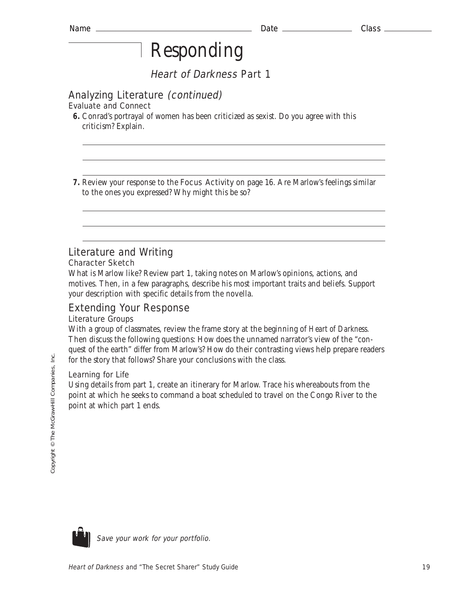Heart of Darkness Part 1

## Analyzing Literature (continued)

Evaluate and Connect

**6.** Conrad's portrayal of women has been criticized as sexist. Do you agree with this criticism? Explain.

**7.** Review your response to the Focus Activity on page 16. Are Marlow's feelings similar to the ones you expressed? Why might this be so?

### Literature and Writing

#### Character Sketch

What is Marlow like? Review part 1, taking notes on Marlow's opinions, actions, and motives. Then, in a few paragraphs, describe his most important traits and beliefs. Support your description with specific details from the novella.

## Extending Your Response

#### Literature Groups

With a group of classmates, review the frame story at the beginning of *Heart of Darkness.* Then discuss the following questions: How does the unnamed narrator's view of the "conquest of the earth" differ from Marlow's? How do their contrasting views help prepare readers for the story that follows? Share your conclusions with the class.

#### Learning for Life

Using details from part 1, create an itinerary for Marlow. Trace his whereabouts from the point at which he seeks to command a boat scheduled to travel on the Congo River to the point at which part 1 ends.

ie.



Save your work for your portfolio.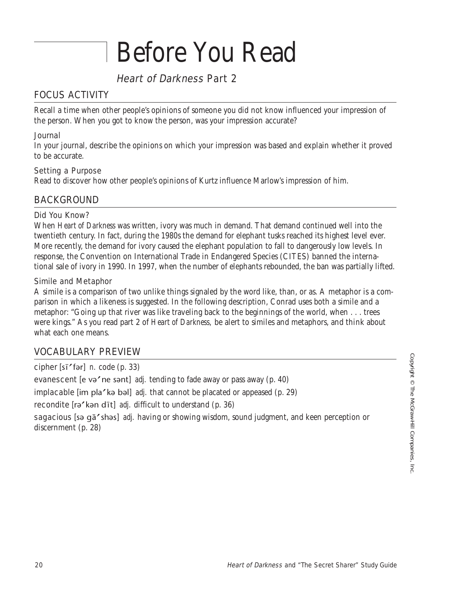## Before You Read

## Heart of Darkness Part 2

## FOCUS ACTIVITY

Recall a time when other people's opinions of someone you did not know influenced your impression of the person. When you got to know the person, was your impression accurate?

#### Journal

In your journal, describe the opinions on which your impression was based and explain whether it proved to be accurate.

#### Setting a Purpose

Read to discover how other people's opinions of Kurtz influence Marlow's impression of him.

### BACKGROUND

#### Did You Know?

When *Heart of Darkness* was written, ivory was much in demand. That demand continued well into the twentieth century. In fact, during the 1980s the demand for elephant tusks reached its highest level ever. More recently, the demand for ivory caused the elephant population to fall to dangerously low levels. In response, the Convention on International Trade in Endangered Species (CITES) banned the international sale of ivory in 1990. In 1997, when the number of elephants rebounded, the ban was partially lifted.

#### Simile and Metaphor

A simile is a comparison of two unlike things signaled by the word like, than, or as. A metaphor is a comparison in which a likeness is suggested. In the following description, Conrad uses both a simile and a metaphor: "Going up that river was like traveling back to the beginnings of the world, when . . . trees were kings." As you read part 2 of *Heart of Darkness,* be alert to similes and metaphors, and think about what each one means.

### VOCABULARY PREVIEW

cipher  $[s\bar{1}'$  fər] *n.* code (p. 33) evanescent [e və'ne sənt] *adj.* tending to fade away or pass away (p. 40) implacable [im pla' kə bəl] *adj.* that cannot be placated or appeased (p. 29) recondite [rə' kən dīt] *adj.* difficult to understand (p. 36) sagacious [sə qā' shəs] *adj.* having or showing wisdom, sound judgment, and keen perception or discernment (p. 28)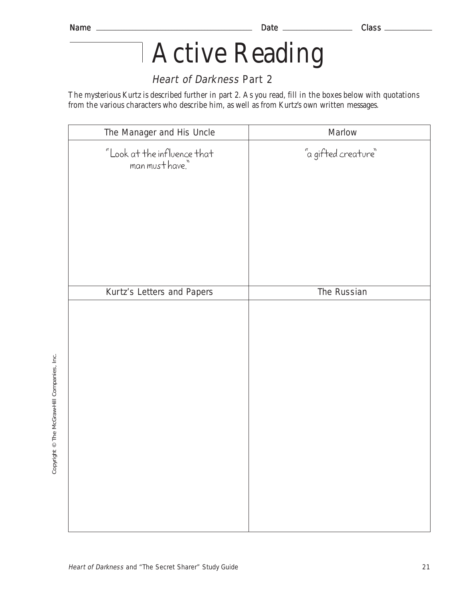## Active Reading

## Heart of Darkness Part 2

The mysterious Kurtz is described further in part 2. As you read, fill in the boxes below with quotations from the various characters who describe him, as well as from Kurtz's own written messages.

| The Manager and His Uncle                       | Marlow              |
|-------------------------------------------------|---------------------|
| "Look at the influence that<br>"man must have." | "a gifted creature" |
| Kurtz's Letters and Papers                      | The Russian         |
|                                                 |                     |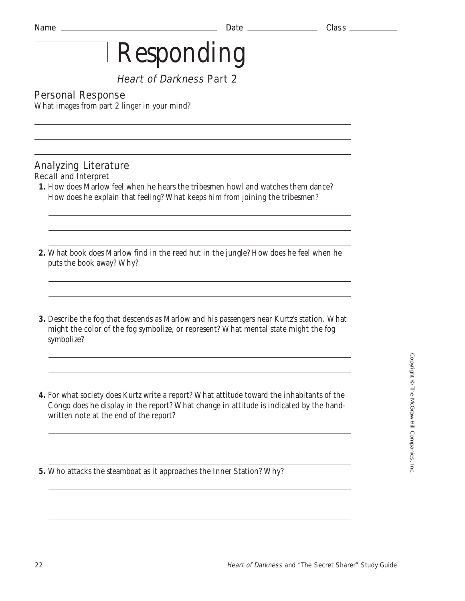## Heart of Darkness Part 2

## Personal Response

What images from part 2 linger in your mind?

#### Analyzing Literature Recall and Interpret

- **1.** How does Marlow feel when he hears the tribesmen howl and watches them dance? How does he explain that feeling? What keeps him from joining the tribesmen?
- **2.** What book does Marlow find in the reed hut in the jungle? How does he feel when he puts the book away? Why?
- **3.** Describe the fog that descends as Marlow and his passengers near Kurtz's station. What might the color of the fog symbolize, or represent? What mental state might the fog symbolize?
- **4.** For what society does Kurtz write a report? What attitude toward the inhabitants of the Congo does he display in the report? What change in attitude is indicated by the handwritten note at the end of the report?

**5.** Who attacks the steamboat as it approaches the Inner Station? Why?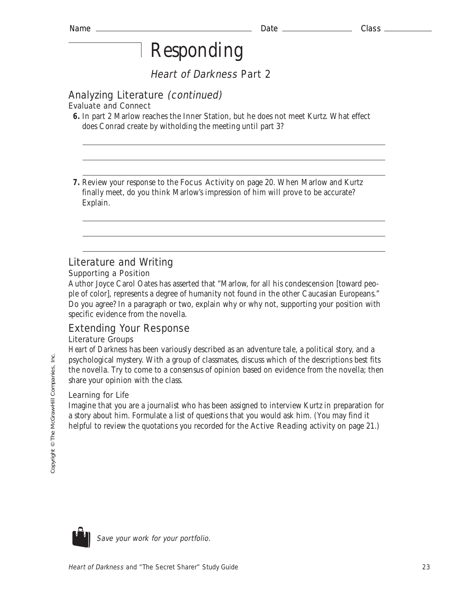Heart of Darkness Part 2

## Analyzing Literature (continued)

Evaluate and Connect

**7.** Review your response to the Focus Activity on page 20. When Marlow and Kurtz finally meet, do you think Marlow's impression of him will prove to be accurate? Explain.

## Literature and Writing

#### Supporting a Position

Author Joyce Carol Oates has asserted that "Marlow, for all his condescension [toward people of color], represents a degree of humanity not found in the other Caucasian Europeans." Do you agree? In a paragraph or two, explain why or why not, supporting your position with specific evidence from the novella.

## Extending Your Response

### Literature Groups

*Heart of Darkness* has been variously described as an adventure tale, a political story, and a psychological mystery. With a group of classmates, discuss which of the descriptions best fits the novella. Try to come to a consensus of opinion based on evidence from the novella; then share your opinion with the class.

#### Learning for Life

Imagine that you are a journalist who has been assigned to interview Kurtz in preparation for a story about him. Formulate a list of questions that you would ask him. (You may find it helpful to review the quotations you recorded for the **Active Reading** activity on page 21.)



Save your work for your portfolio.

**<sup>6.</sup>** In part 2 Marlow reaches the Inner Station, but he does not meet Kurtz. What effect does Conrad create by witholding the meeting until part 3?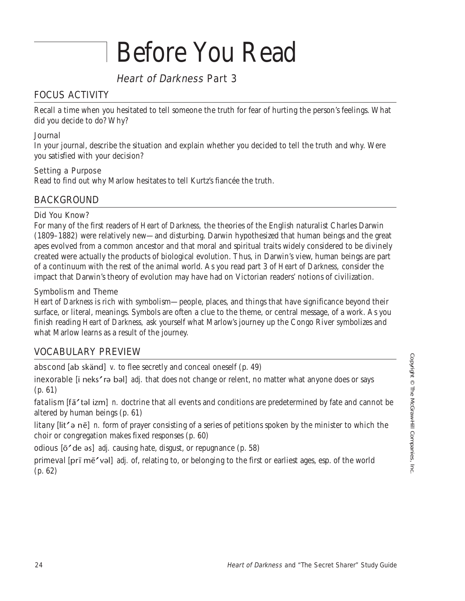## Before You Read

## Heart of Darkness Part 3

### FOCUS ACTIVITY

Recall a time when you hesitated to tell someone the truth for fear of hurting the person's feelings. What did you decide to do? Why?

#### Journal

In your journal, describe the situation and explain whether you decided to tell the truth and why. Were you satisfied with your decision?

#### Setting a Purpose

Read to find out why Marlow hesitates to tell Kurtz's fiancée the truth.

### BACKGROUND

#### Did You Know?

For many of the first readers of *Heart of Darkness,* the theories of the English naturalist Charles Darwin (1809–1882) were relatively new—and disturbing. Darwin hypothesized that human beings and the great apes evolved from a common ancestor and that moral and spiritual traits widely considered to be divinely created were actually the products of biological evolution. Thus, in Darwin's view, human beings are part of a continuum with the rest of the animal world. As you read part 3 of *Heart of Darkness,* consider the impact that Darwin's theory of evolution may have had on Victorian readers' notions of civilization.

#### Symbolism and Theme

*Heart of Darkness* is rich with symbolism—people, places, and things that have significance beyond their surface, or literal, meanings. Symbols are often a clue to the theme, or central message, of a work. As you finish reading *Heart of Darkness,* ask yourself what Marlow's journey up the Congo River symbolizes and what Marlow learns as a result of the journey.

### VOCABULARY PREVIEW

abscond [ab skänd] *v*. to flee secretly and conceal oneself (p. 49)

inexorable [i neks' rə bəl] *adj.* that does not change or relent, no matter what anyone does or says (p. 61)

fatalism [fā 'təl izm] *n.* doctrine that all events and conditions are predetermined by fate and cannot be altered by human beings (p. 61)

litany [lit' a nē] *n*. form of prayer consisting of a series of petitions spoken by the minister to which the choir or congregation makes fixed responses (p. 60)

odious [ $\bar{o}'$  de əs] *adj.* causing hate, disgust, or repugnance (p. 58)

primeval [pr¯ m¯evəl] *adj.* of, relating to, or belonging to the first or earliest ages, esp. of the world (p. 62)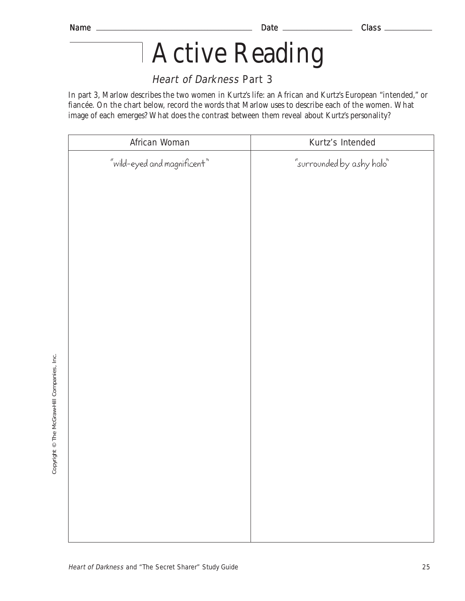## Active Reading

## Heart of Darkness Part 3

In part 3, Marlow describes the two women in Kurtz's life: an African and Kurtz's European "intended," or fiancée. On the chart below, record the words that Marlow uses to describe each of the women. What image of each emerges? What does the contrast between them reveal about Kurtz's personality?

| African Woman                    | Kurtz's Intended          |
|----------------------------------|---------------------------|
| " $width$ -eyed and magnificent" | "surrounded by ashy halo" |
|                                  |                           |
|                                  |                           |
|                                  |                           |
|                                  |                           |
|                                  |                           |
|                                  |                           |
|                                  |                           |
|                                  |                           |
|                                  |                           |
|                                  |                           |
|                                  |                           |
|                                  |                           |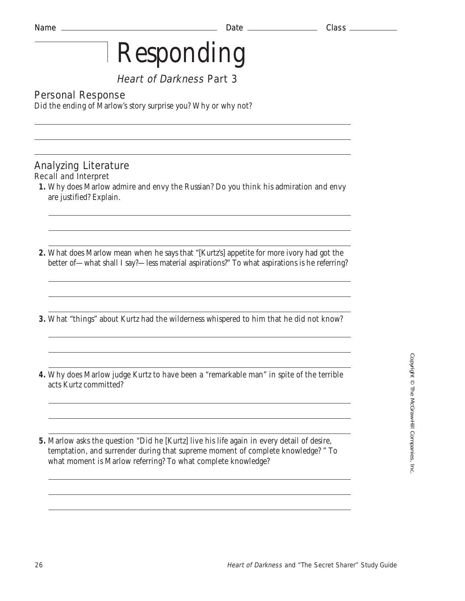## Heart of Darkness Part 3

## Personal Response

Did the ending of Marlow's story surprise you? Why or why not?

- Analyzing Literature Recall and Interpret
- **1.** Why does Marlow admire and envy the Russian? Do you think his admiration and envy are justified? Explain.
- **2.** What does Marlow mean when he says that "[Kurtz's] appetite for more ivory had got the better of—what shall I say?—less material aspirations?" To what aspirations is he referring?
- **3.** What "things" about Kurtz had the wilderness whispered to him that he did not know?
- **4.** Why does Marlow judge Kurtz to have been a "remarkable man" in spite of the terrible acts Kurtz committed?
- **5.** Marlow asks the question "Did he [Kurtz] live his life again in every detail of desire, temptation, and surrender during that supreme moment of complete knowledge? " To what moment is Marlow referring? To what complete knowledge?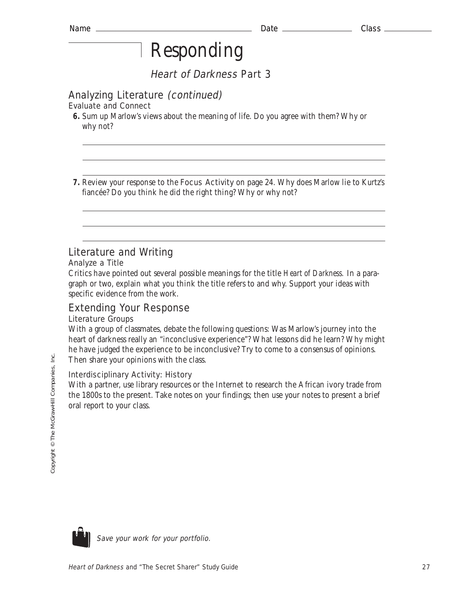Heart of Darkness Part 3

## Analyzing Literature (continued)

### Evaluate and Connect

**6.** Sum up Marlow's views about the meaning of life. Do you agree with them? Why or why not?

**7.** Review your response to the Focus Activity on page 24. Why does Marlow lie to Kurtz's fiancée? Do you think he did the right thing? Why or why not?

## Literature and Writing

#### Analyze a Title

Critics have pointed out several possible meanings for the title *Heart of Darkness.* In a paragraph or two, explain what you think the title refers to and why. Support your ideas with specific evidence from the work.

## Extending Your Response

#### Literature Groups

With a group of classmates, debate the following questions: Was Marlow's journey into the heart of darkness really an "inconclusive experience"? What lessons did he learn? Why might he have judged the experience to be inconclusive? Try to come to a consensus of opinions. Then share your opinions with the class.

#### Interdisciplinary Activity: History

With a partner, use library resources or the Internet to research the African ivory trade from the 1800s to the present. Take notes on your findings; then use your notes to present a brief oral report to your class.

ie.

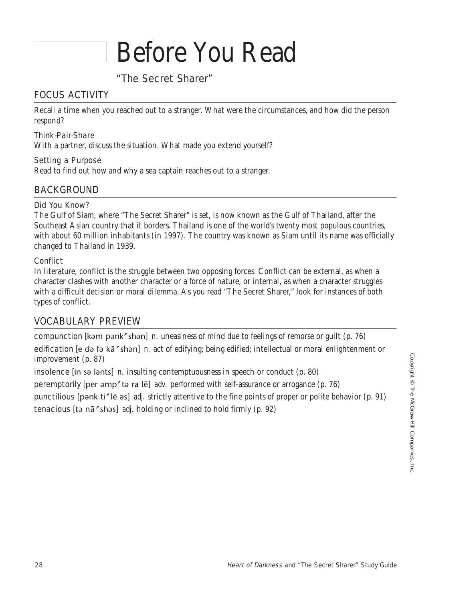## Before You Read

## "The Secret Sharer"

### FOCUS ACTIVITY

Recall a time when you reached out to a stranger. What were the circumstances, and how did the person respond?

#### Think-Pair-Share

With a partner, discuss the situation. What made you extend yourself?

#### Setting a Purpose

Read to find out how and why a sea captain reaches out to a stranger.

### BACKGROUND

#### Did You Know?

The Gulf of Siam, where "The Secret Sharer" is set, is now known as the Gulf of Thailand, after the Southeast Asian country that it borders. Thailand is one of the world's twenty most populous countries, with about 60 million inhabitants (in 1997). The country was known as Siam until its name was officially changed to Thailand in 1939.

#### **Conflict**

In literature, conflict is the struggle between two opposing forces. Conflict can be external, as when a character clashes with another character or a force of nature, or internal, as when a character struggles with a difficult decision or moral dilemma. As you read "The Secret Sharer," look for instances of both types of conflict.

### VOCABULARY PREVIEW

compunction [kəm pənk shən] *n.* uneasiness of mind due to feelings of remorse or guilt (p. 76) edification [e də fə kā'shən] n. act of edifying; being edified; intellectual or moral enlightenment or improvement (p. 87)

insolence [in sə lənts] *n.* insulting contemptuousness in speech or conduct (p. 80)

**peremptorily** [per əmp'tə ra lē] *adv.* performed with self-assurance or arrogance (p. 76)

punctilious [pənk ti<sup>z</sup>lē əs] *adj.* strictly attentive to the fine points of proper or polite behavior (p. 91) tenacious [tə nā'shəs] *adj.* holding or inclined to hold firmly (p. 92)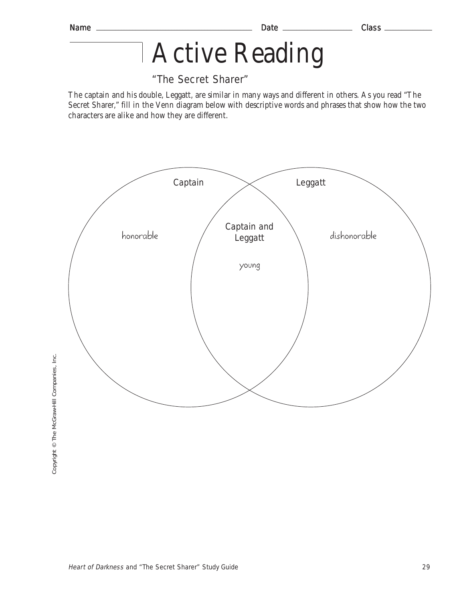## Active Reading

## "The Secret Sharer"

The captain and his double, Leggatt, are similar in many ways and different in others. As you read "The Secret Sharer," fill in the Venn diagram below with descriptive words and phrases that show how the two characters are alike and how they are different.

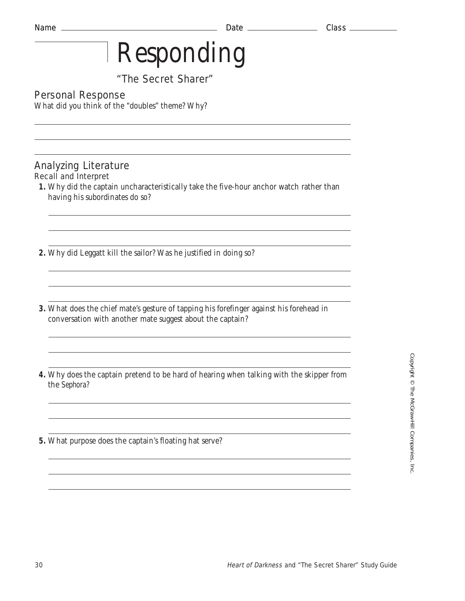## "The Secret Sharer"

## Personal Response

What did you think of the "doubles" theme? Why?

#### Analyzing Literature Recall and Interpret

- **1.** Why did the captain uncharacteristically take the five-hour anchor watch rather than having his subordinates do so?
- **2.** Why did Leggatt kill the sailor? Was he justified in doing so?
- **3.** What does the chief mate's gesture of tapping his forefinger against his forehead in conversation with another mate suggest about the captain?

- **4.** Why does the captain pretend to be hard of hearing when talking with the skipper from the *Sephora?*
- **5.** What purpose does the captain's floating hat serve?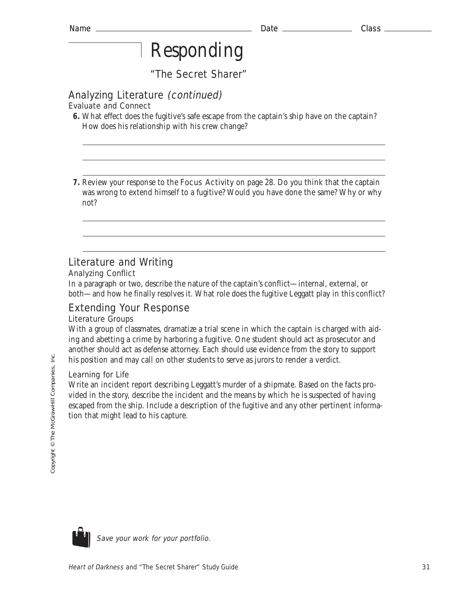"The Secret Sharer"

## Analyzing Literature (continued)

Evaluate and Connect

**7.** Review your response to the Focus Activity on page 28. Do you think that the captain was wrong to extend himself to a fugitive? Would you have done the same? Why or why not?

## Literature and Writing

#### Analyzing Conflict

In a paragraph or two, describe the nature of the captain's conflict—internal, external, or both—and how he finally resolves it. What role does the fugitive Leggatt play in this conflict?

## Extending Your Response

#### Literature Groups

With a group of classmates, dramatize a trial scene in which the captain is charged with aiding and abetting a crime by harboring a fugitive. One student should act as prosecutor and another should act as defense attorney. Each should use evidence from the story to support his position and may call on other students to serve as jurors to render a verdict.

#### Learning for Life

Write an incident report describing Leggatt's murder of a shipmate. Based on the facts provided in the story, describe the incident and the means by which he is suspected of having escaped from the ship. Include a description of the fugitive and any other pertinent information that might lead to his capture.

lnc.



**<sup>6.</sup>** What effect does the fugitive's safe escape from the captain's ship have on the captain? How does his relationship with his crew change?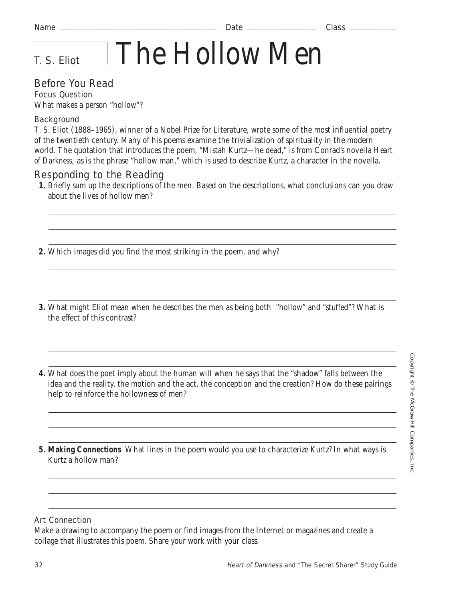# T. S. Eliot The Hollow Men

## Before You Read

Focus Question What makes a person "hollow"?

#### **Background**

T. S. Eliot (1888–1965), winner of a Nobel Prize for Literature, wrote some of the most influential poetry of the twentieth century. Many of his poems examine the trivialization of spirituality in the modern world. The quotation that introduces the poem, "Mistah Kurtz—he dead," is from Conrad's novella *Heart of Darkness,* as is the phrase "hollow man," which is used to describe Kurtz, a character in the novella.

### Responding to the Reading

- **1.** Briefly sum up the descriptions of the men. Based on the descriptions, what conclusions can you draw about the lives of hollow men?
- **2.** Which images did you find the most striking in the poem, and why?
- **3.** What might Eliot mean when he describes the men as being both "hollow" and "stuffed"? What is the effect of this contrast?
- **4.** What does the poet imply about the human will when he says that the "shadow" falls between the idea and the reality, the motion and the act, the conception and the creation? How do these pairings help to reinforce the hollowness of men?

**5. Making Connections** What lines in the poem would you use to characterize Kurtz? In what ways is Kurtz a hollow man?

#### Art Connection

Make a drawing to accompany the poem or find images from the Internet or magazines and create a collage that illustrates this poem. Share your work with your class.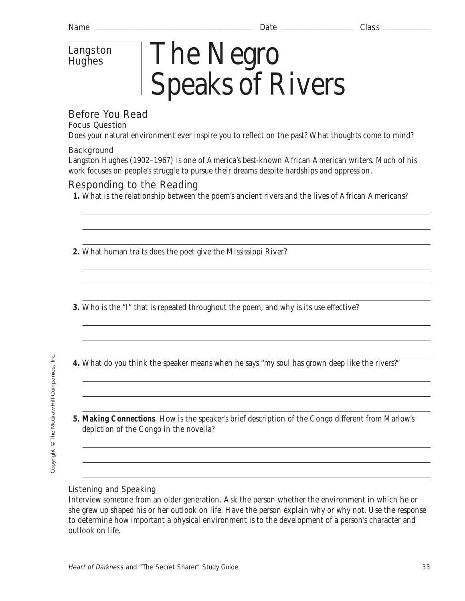## Langston **Hughes**

# The Negro Speaks of Rivers

## Before You Read

## Focus Question

Does your natural environment ever inspire you to reflect on the past? What thoughts come to mind?

### **Background**

Langston Hughes (1902–1967) is one of America's best-known African American writers. Much of his work focuses on people's struggle to pursue their dreams despite hardships and oppression.

## Responding to the Reading

- **1.** What is the relationship between the poem's ancient rivers and the lives of African Americans?
- **2.** What human traits does the poet give the Mississippi River?

**3.** Who is the "I" that is repeated throughout the poem, and why is its use effective?

**4.** What do you think the speaker means when he says "my soul has grown deep like the rivers?"

- 
- **5. Making Connections** How is the speaker's brief description of the Congo different from Marlow's depiction of the Congo in the novella?

### Listening and Speaking

Interview someone from an older generation. Ask the person whether the environment in which he or she grew up shaped his or her outlook on life. Have the person explain why or why not. Use the response to determine how important a physical environment is to the development of a person's character and outlook on life.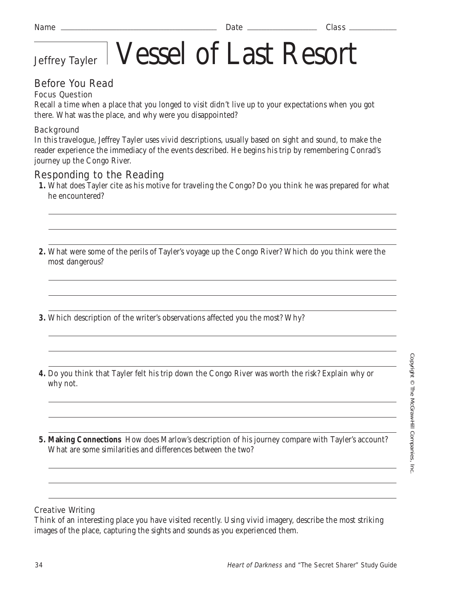# Jeffrey Tayler Vessel of Last Resort

## Before You Read

#### Focus Question

Recall a time when a place that you longed to visit didn't live up to your expectations when you got there. What was the place, and why were you disappointed?

#### **Background**

In this travelogue, Jeffrey Tayler uses vivid descriptions, usually based on sight and sound, to make the reader experience the immediacy of the events described. He begins his trip by remembering Conrad's journey up the Congo River.

### Responding to the Reading

- **1.** What does Tayler cite as his motive for traveling the Congo? Do you think he was prepared for what he encountered?
- **2.** What were some of the perils of Tayler's voyage up the Congo River? Which do you think were the most dangerous?
- **3.** Which description of the writer's observations affected you the most? Why?
- **4.** Do you think that Tayler felt his trip down the Congo River was worth the risk? Explain why or why not.

**5. Making Connections** How does Marlow's description of his journey compare with Tayler's account? What are some similarities and differences between the two?

#### Creative Writing

Think of an interesting place you have visited recently. Using vivid imagery, describe the most striking images of the place, capturing the sights and sounds as you experienced them.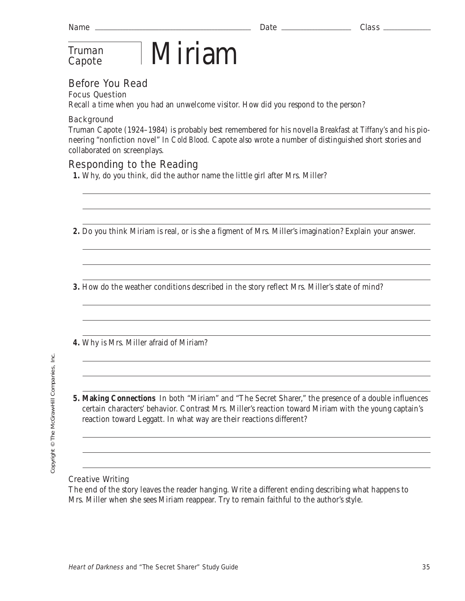## **Truman**

## $T_{\text{ruman}}$   $\blacksquare$   $\text{Miriam}$

## Before You Read

Focus Question

Recall a time when you had an unwelcome visitor. How did you respond to the person?

#### **Background**

Truman Capote (1924–1984) is probably best remembered for his novella *Breakfast at Tiffany's* and his pioneering "nonfiction novel" *In Cold Blood.* Capote also wrote a number of distinguished short stories and collaborated on screenplays.

## Responding to the Reading

- **1.** Why, do you think, did the author name the little girl after Mrs. Miller?
- **2.** Do you think Miriam is real, or is she a figment of Mrs. Miller's imagination? Explain your answer.

**3.** How do the weather conditions described in the story reflect Mrs. Miller's state of mind?

**4.** Why is Mrs. Miller afraid of Miriam?

**5. Making Connections** In both "Miriam" and "The Secret Sharer," the presence of a double influences certain characters' behavior. Contrast Mrs. Miller's reaction toward Miriam with the young captain's reaction toward Leggatt. In what way are their reactions different?

#### Creative Writing

The end of the story leaves the reader hanging. Write a different ending describing what happens to Mrs. Miller when she sees Miriam reappear. Try to remain faithful to the author's style.